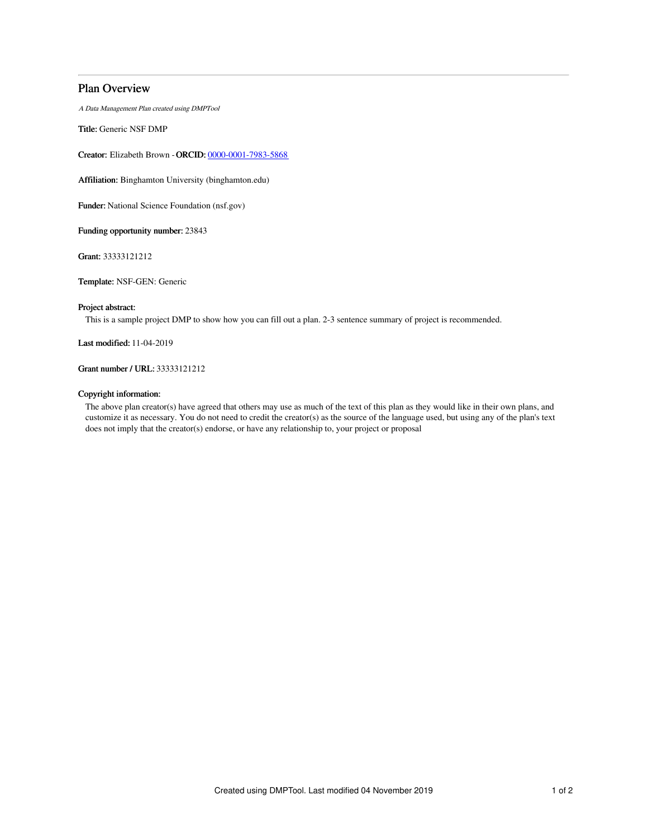# Plan Overview

A Data Management Plan created using DMPTool

Title: Generic NSF DMP

Creator: Elizabeth Brown -ORCID: [0000-0001-7983-5868](https://orcid.org/0000-0001-7983-5868)

Affiliation: Binghamton University (binghamton.edu)

Funder: National Science Foundation (nsf.gov)

Funding opportunity number: 23843

Grant: 33333121212

Template: NSF-GEN: Generic

# Project abstract:

This is a sample project DMP to show how you can fill out a plan. 2-3 sentence summary of project is recommended.

Last modified: 11-04-2019

# Grant number / URL: 33333121212

## Copyright information:

The above plan creator(s) have agreed that others may use as much of the text of this plan as they would like in their own plans, and customize it as necessary. You do not need to credit the creator(s) as the source of the language used, but using any of the plan's text does not imply that the creator(s) endorse, or have any relationship to, your project or proposal